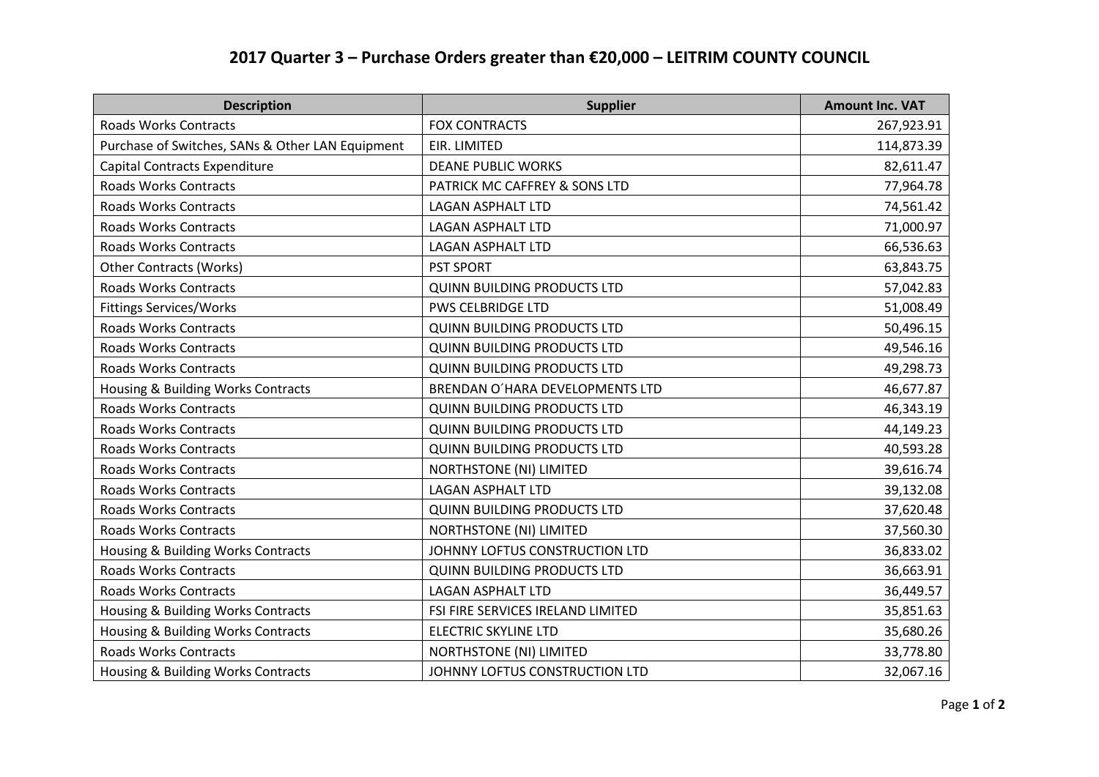## **2017 Quarter 3 – Purchase Orders greater than €20,000 – LEITRIM COUNTY COUNCIL**

| <b>Description</b>                               | <b>Supplier</b>                    | <b>Amount Inc. VAT</b> |
|--------------------------------------------------|------------------------------------|------------------------|
| <b>Roads Works Contracts</b>                     | <b>FOX CONTRACTS</b>               | 267,923.91             |
| Purchase of Switches, SANs & Other LAN Equipment | EIR. LIMITED                       | 114,873.39             |
| Capital Contracts Expenditure                    | <b>DEANE PUBLIC WORKS</b>          | 82,611.47              |
| <b>Roads Works Contracts</b>                     | PATRICK MC CAFFREY & SONS LTD      | 77,964.78              |
| <b>Roads Works Contracts</b>                     | <b>LAGAN ASPHALT LTD</b>           | 74,561.42              |
| <b>Roads Works Contracts</b>                     | <b>LAGAN ASPHALT LTD</b>           | 71,000.97              |
| <b>Roads Works Contracts</b>                     | <b>LAGAN ASPHALT LTD</b>           | 66,536.63              |
| <b>Other Contracts (Works)</b>                   | <b>PST SPORT</b>                   | 63,843.75              |
| <b>Roads Works Contracts</b>                     | <b>QUINN BUILDING PRODUCTS LTD</b> | 57,042.83              |
| <b>Fittings Services/Works</b>                   | <b>PWS CELBRIDGE LTD</b>           | 51,008.49              |
| <b>Roads Works Contracts</b>                     | <b>QUINN BUILDING PRODUCTS LTD</b> | 50,496.15              |
| <b>Roads Works Contracts</b>                     | <b>QUINN BUILDING PRODUCTS LTD</b> | 49,546.16              |
| <b>Roads Works Contracts</b>                     | <b>QUINN BUILDING PRODUCTS LTD</b> | 49,298.73              |
| Housing & Building Works Contracts               | BRENDAN O'HARA DEVELOPMENTS LTD    | 46,677.87              |
| <b>Roads Works Contracts</b>                     | QUINN BUILDING PRODUCTS LTD        | 46,343.19              |
| <b>Roads Works Contracts</b>                     | <b>QUINN BUILDING PRODUCTS LTD</b> | 44,149.23              |
| <b>Roads Works Contracts</b>                     | <b>QUINN BUILDING PRODUCTS LTD</b> | 40,593.28              |
| <b>Roads Works Contracts</b>                     | <b>NORTHSTONE (NI) LIMITED</b>     | 39,616.74              |
| <b>Roads Works Contracts</b>                     | <b>LAGAN ASPHALT LTD</b>           | 39,132.08              |
| <b>Roads Works Contracts</b>                     | <b>QUINN BUILDING PRODUCTS LTD</b> | 37,620.48              |
| <b>Roads Works Contracts</b>                     | <b>NORTHSTONE (NI) LIMITED</b>     | 37,560.30              |
| Housing & Building Works Contracts               | JOHNNY LOFTUS CONSTRUCTION LTD     | 36,833.02              |
| <b>Roads Works Contracts</b>                     | <b>QUINN BUILDING PRODUCTS LTD</b> | 36,663.91              |
| <b>Roads Works Contracts</b>                     | <b>LAGAN ASPHALT LTD</b>           | 36,449.57              |
| Housing & Building Works Contracts               | FSI FIRE SERVICES IRELAND LIMITED  | 35,851.63              |
| Housing & Building Works Contracts               | <b>ELECTRIC SKYLINE LTD</b>        | 35,680.26              |
| <b>Roads Works Contracts</b>                     | <b>NORTHSTONE (NI) LIMITED</b>     | 33,778.80              |
| Housing & Building Works Contracts               | JOHNNY LOFTUS CONSTRUCTION LTD     | 32,067.16              |